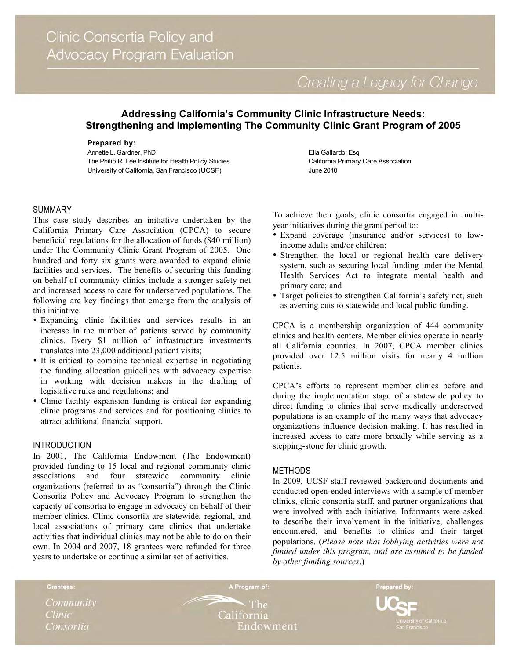Creating a Legacy for Change

# **Addressing California's Community Clinic Infrastructure Needs: Strengthening and Implementing The Community Clinic Grant Program of 2005**

#### **Prepared by:**

Annette L. Gardner, PhD The Philip R. Lee Institute for Health Policy Studies University of California, San Francisco (UCSF)

#### SUMMARY

This case study describes an initiative undertaken by the California Primary Care Association (CPCA) to secure beneficial regulations for the allocation of funds (\$40 million) under The Community Clinic Grant Program of 2005. One hundred and forty six grants were awarded to expand clinic facilities and services. The benefits of securing this funding on behalf of community clinics include a stronger safety net and increased access to care for underserved populations. The following are key findings that emerge from the analysis of this initiative:

- Expanding clinic facilities and services results in an increase in the number of patients served by community clinics. Every \$1 million of infrastructure investments translates into 23,000 additional patient visits;
- It is critical to combine technical expertise in negotiating the funding allocation guidelines with advocacy expertise in working with decision makers in the drafting of legislative rules and regulations; and
- Clinic facility expansion funding is critical for expanding clinic programs and services and for positioning clinics to attract additional financial support.

## INTRODUCTION

In 2001, The California Endowment (The Endowment) provided funding to 15 local and regional community clinic<br>associations and four statewide community clinic associations and four statewide community clinic organizations (referred to as "consortia") through the Clinic Consortia Policy and Advocacy Program to strengthen the capacity of consortia to engage in advocacy on behalf of their member clinics. Clinic consortia are statewide, regional, and local associations of primary care clinics that undertake activities that individual clinics may not be able to do on their own. In 2004 and 2007, 18 grantees were refunded for three years to undertake or continue a similar set of activities.

Elia Gallardo, Esq California Primary Care Association June 2010

To achieve their goals, clinic consortia engaged in multiyear initiatives during the grant period to:

- Expand coverage (insurance and/or services) to lowincome adults and/or children;
- Strengthen the local or regional health care delivery system, such as securing local funding under the Mental Health Services Act to integrate mental health and primary care; and
- Target policies to strengthen California's safety net, such as averting cuts to statewide and local public funding.

CPCA is a membership organization of 444 community clinics and health centers. Member clinics operate in nearly all California counties. In 2007, CPCA member clinics provided over 12.5 million visits for nearly 4 million patients.

CPCA's efforts to represent member clinics before and during the implementation stage of a statewide policy to direct funding to clinics that serve medically underserved populations is an example of the many ways that advocacy organizations influence decision making. It has resulted in increased access to care more broadly while serving as a stepping-stone for clinic growth.

#### METHODS

In 2009, UCSF staff reviewed background documents and conducted open-ended interviews with a sample of member clinics, clinic consortia staff, and partner organizations that were involved with each initiative. Informants were asked to describe their involvement in the initiative, challenges encountered, and benefits to clinics and their target populations. (*Please note that lobbying activities were not funded under this program, and are assumed to be funded by other funding sources*.)

Community **Clinic** Consortia

Grantees:

**The** California Endowment

A Program of:

Prepared by: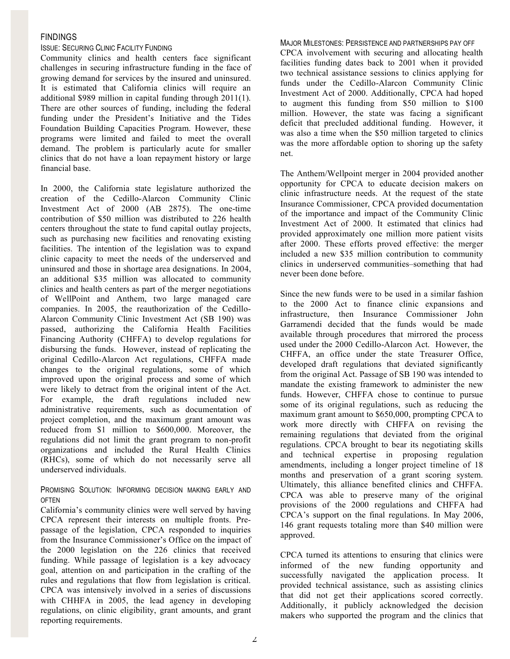# FINDINGS

# ISSUE: SECURING CLINIC FACILITY FUNDING

Community clinics and health centers face significant challenges in securing infrastructure funding in the face of growing demand for services by the insured and uninsured. It is estimated that California clinics will require an additional \$989 million in capital funding through 2011(1). There are other sources of funding, including the federal funding under the President's Initiative and the Tides Foundation Building Capacities Program. However, these programs were limited and failed to meet the overall demand. The problem is particularly acute for smaller clinics that do not have a loan repayment history or large financial base.

In 2000, the California state legislature authorized the creation of the Cedillo-Alarcon Community Clinic Investment Act of 2000 (AB 2875). The one-time contribution of \$50 million was distributed to 226 health centers throughout the state to fund capital outlay projects, such as purchasing new facilities and renovating existing facilities. The intention of the legislation was to expand clinic capacity to meet the needs of the underserved and uninsured and those in shortage area designations. In 2004, an additional \$35 million was allocated to community clinics and health centers as part of the merger negotiations of WellPoint and Anthem, two large managed care companies. In 2005, the reauthorization of the Cedillo-Alarcon Community Clinic Investment Act (SB 190) was passed, authorizing the California Health Facilities Financing Authority (CHFFA) to develop regulations for disbursing the funds. However, instead of replicating the original Cedillo-Alarcon Act regulations, CHFFA made changes to the original regulations, some of which improved upon the original process and some of which were likely to detract from the original intent of the Act. For example, the draft regulations included new administrative requirements, such as documentation of project completion, and the maximum grant amount was reduced from \$1 million to \$600,000. Moreover, the regulations did not limit the grant program to non-profit organizations and included the Rural Health Clinics (RHCs), some of which do not necessarily serve all underserved individuals.

# PROMISING SOLUTION: INFORMING DECISION MAKING EARLY AND OFTEN

California's community clinics were well served by having CPCA represent their interests on multiple fronts. Prepassage of the legislation, CPCA responded to inquiries from the Insurance Commissioner's Office on the impact of the 2000 legislation on the 226 clinics that received funding. While passage of legislation is a key advocacy goal, attention on and participation in the crafting of the rules and regulations that flow from legislation is critical. CPCA was intensively involved in a series of discussions with CHHFA in 2005, the lead agency in developing regulations, on clinic eligibility, grant amounts, and grant reporting requirements.

MAJOR MILESTONES: PERSISTENCE AND PARTNERSHIPS PAY OFF CPCA involvement with securing and allocating health facilities funding dates back to 2001 when it provided two technical assistance sessions to clinics applying for funds under the Cedillo-Alarcon Community Clinic Investment Act of 2000. Additionally, CPCA had hoped to augment this funding from \$50 million to \$100 million. However, the state was facing a significant deficit that precluded additional funding. However, it was also a time when the \$50 million targeted to clinics was the more affordable option to shoring up the safety net.

The Anthem/Wellpoint merger in 2004 provided another opportunity for CPCA to educate decision makers on clinic infrastructure needs. At the request of the state Insurance Commissioner, CPCA provided documentation of the importance and impact of the Community Clinic Investment Act of 2000. It estimated that clinics had provided approximately one million more patient visits after 2000. These efforts proved effective: the merger included a new \$35 million contribution to community clinics in underserved communities–something that had never been done before.

Since the new funds were to be used in a similar fashion to the 2000 Act to finance clinic expansions and infrastructure, then Insurance Commissioner John Garramendi decided that the funds would be made available through procedures that mirrored the process used under the 2000 Cedillo-Alarcon Act. However, the CHFFA, an office under the state Treasurer Office, developed draft regulations that deviated significantly from the original Act. Passage of SB 190 was intended to mandate the existing framework to administer the new funds. However, CHFFA chose to continue to pursue some of its original regulations, such as reducing the maximum grant amount to \$650,000, prompting CPCA to work more directly with CHFFA on revising the remaining regulations that deviated from the original regulations. CPCA brought to bear its negotiating skills and technical expertise in proposing regulation amendments, including a longer project timeline of 18 months and preservation of a grant scoring system. Ultimately, this alliance benefited clinics and CHFFA. CPCA was able to preserve many of the original provisions of the 2000 regulations and CHFFA had CPCA's support on the final regulations. In May 2006, 146 grant requests totaling more than \$40 million were approved.

CPCA turned its attentions to ensuring that clinics were informed of the new funding opportunity and successfully navigated the application process. It provided technical assistance, such as assisting clinics that did not get their applications scored correctly. Additionally, it publicly acknowledged the decision makers who supported the program and the clinics that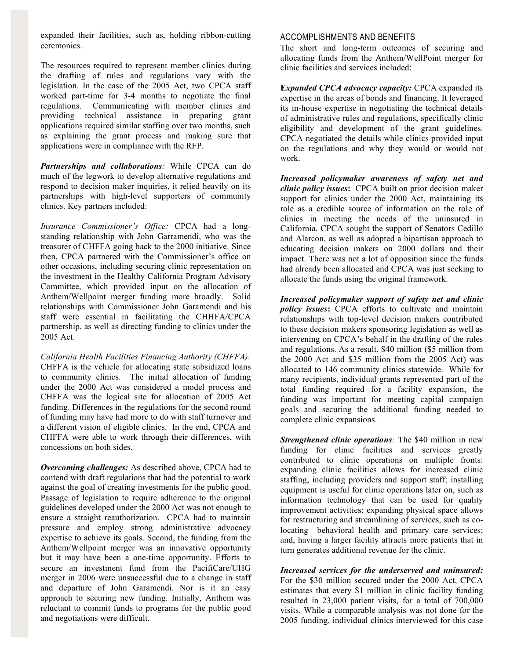expanded their facilities, such as, holding ribbon-cutting ceremonies.

The resources required to represent member clinics during the drafting of rules and regulations vary with the legislation. In the case of the 2005 Act, two CPCA staff worked part-time for 3-4 months to negotiate the final regulations. Communicating with member clinics and providing technical assistance in preparing grant applications required similar staffing over two months, such as explaining the grant process and making sure that applications were in compliance with the RFP.

*Partnerships and collaborations:* While CPCA can do much of the legwork to develop alternative regulations and respond to decision maker inquiries, it relied heavily on its partnerships with high-level supporters of community clinics. Key partners included:

*Insurance Commissioner's Office:* CPCA had a longstanding relationship with John Garramendi, who was the treasurer of CHFFA going back to the 2000 initiative. Since then, CPCA partnered with the Commissioner's office on other occasions, including securing clinic representation on the investment in the Healthy California Program Advisory Committee, which provided input on the allocation of Anthem/Wellpoint merger funding more broadly. Solid relationships with Commissioner John Garamendi and his staff were essential in facilitating the CHHFA/CPCA partnership, as well as directing funding to clinics under the 2005 Act.

*California Health Facilities Financing Authority (CHFFA):*  CHFFA is the vehicle for allocating state subsidized loans to community clinics. The initial allocation of funding under the 2000 Act was considered a model process and CHFFA was the logical site for allocation of 2005 Act funding. Differences in the regulations for the second round of funding may have had more to do with staff turnover and a different vision of eligible clinics. In the end, CPCA and CHFFA were able to work through their differences, with concessions on both sides.

*Overcoming challenges:* As described above, CPCA had to contend with draft regulations that had the potential to work against the goal of creating investments for the public good. Passage of legislation to require adherence to the original guidelines developed under the 2000 Act was not enough to ensure a straight reauthorization. CPCA had to maintain pressure and employ strong administrative advocacy expertise to achieve its goals. Second, the funding from the Anthem/Wellpoint merger was an innovative opportunity but it may have been a one-time opportunity. Efforts to secure an investment fund from the PacifiCare/UHG merger in 2006 were unsuccessful due to a change in staff and departure of John Garamendi. Nor is it an easy approach to securing new funding. Initially, Anthem was reluctant to commit funds to programs for the public good and negotiations were difficult.

### ACCOMPLISHMENTS AND BENEFITS

The short and long-term outcomes of securing and allocating funds from the Anthem/WellPoint merger for clinic facilities and services included:

**E***xpanded CPCA advocacy capacity:* CPCA expanded its expertise in the areas of bonds and financing. It leveraged its in-house expertise in negotiating the technical details of administrative rules and regulations, specifically clinic eligibility and development of the grant guidelines. CPCA negotiated the details while clinics provided input on the regulations and why they would or would not work.

*Increased policymaker awareness of safety net and clinic policy issues***:** CPCA built on prior decision maker support for clinics under the 2000 Act, maintaining its role as a credible source of information on the role of clinics in meeting the needs of the uninsured in California. CPCA sought the support of Senators Cedillo and Alarcon, as well as adopted a bipartisan approach to educating decision makers on 2000 dollars and their impact. There was not a lot of opposition since the funds had already been allocated and CPCA was just seeking to allocate the funds using the original framework.

*Increased policymaker support of safety net and clinic policy issues***:** CPCA efforts to cultivate and maintain relationships with top-level decision makers contributed to these decision makers sponsoring legislation as well as intervening on CPCA's behalf in the drafting of the rules and regulations. As a result, \$40 million (\$5 million from the 2000 Act and \$35 million from the 2005 Act) was allocated to 146 community clinics statewide. While for many recipients, individual grants represented part of the total funding required for a facility expansion, the funding was important for meeting capital campaign goals and securing the additional funding needed to complete clinic expansions.

*Strengthened clinic operations:* The \$40 million in new funding for clinic facilities and services greatly contributed to clinic operations on multiple fronts: expanding clinic facilities allows for increased clinic staffing, including providers and support staff; installing equipment is useful for clinic operations later on, such as information technology that can be used for quality improvement activities; expanding physical space allows for restructuring and streamlining of services, such as colocating behavioral health and primary care services; and, having a larger facility attracts more patients that in turn generates additional revenue for the clinic.

*Increased services for the underserved and uninsured:* For the \$30 million secured under the 2000 Act, CPCA estimates that every \$1 million in clinic facility funding resulted in 23,000 patient visits, for a total of 700,000 visits. While a comparable analysis was not done for the 2005 funding, individual clinics interviewed for this case